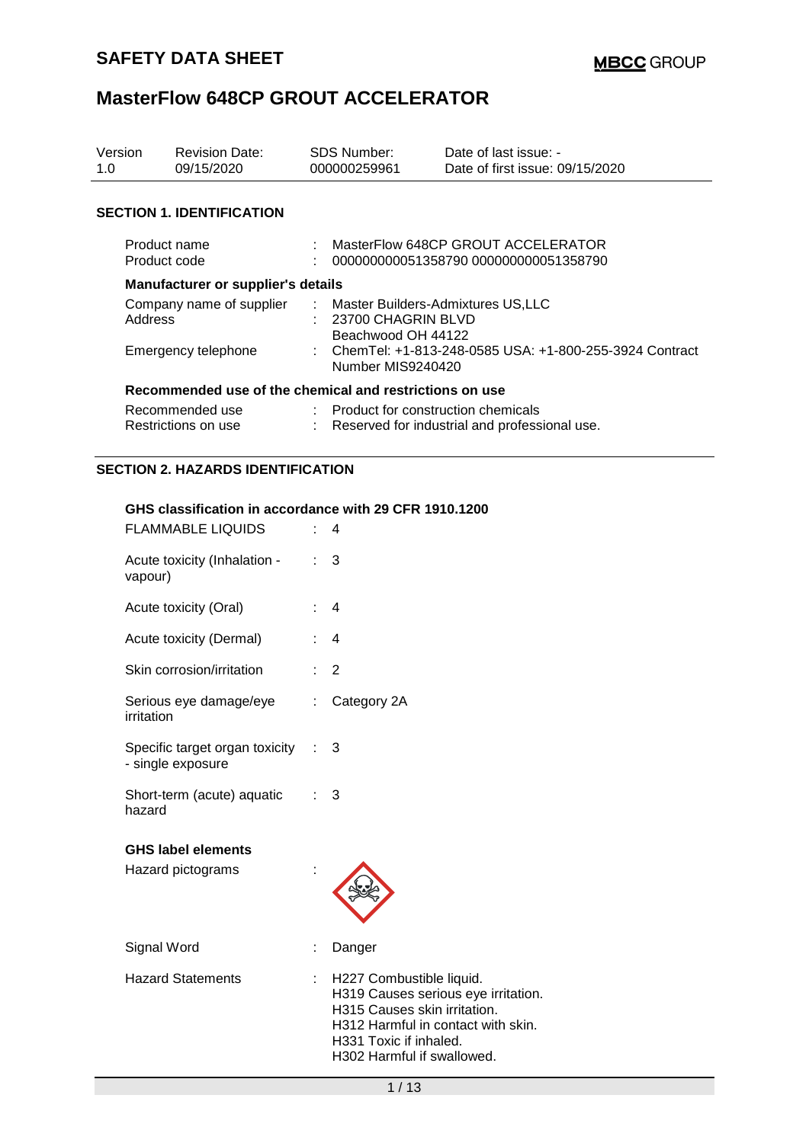| Version<br>1.0                         | <b>Revision Date:</b><br>09/15/2020                     | <b>SDS Number:</b><br>000000259961                                                    | Date of last issue: -<br>Date of first issue: 09/15/2020                    |  |
|----------------------------------------|---------------------------------------------------------|---------------------------------------------------------------------------------------|-----------------------------------------------------------------------------|--|
|                                        | <b>SECTION 1. IDENTIFICATION</b>                        |                                                                                       |                                                                             |  |
|                                        | Product name<br>Product code                            |                                                                                       | MasterFlow 648CP GROUT ACCELERATOR<br>000000000051358790 000000000051358790 |  |
|                                        | Manufacturer or supplier's details                      |                                                                                       |                                                                             |  |
| Company name of supplier<br>Address    |                                                         | : Master Builders-Admixtures US,LLC<br>23700 CHAGRIN BLVD<br>Beachwood OH 44122       |                                                                             |  |
| Emergency telephone                    |                                                         | : ChemTel: +1-813-248-0585 USA: +1-800-255-3924 Contract<br>Number MIS9240420         |                                                                             |  |
|                                        | Recommended use of the chemical and restrictions on use |                                                                                       |                                                                             |  |
| Recommended use<br>Restrictions on use |                                                         | : Product for construction chemicals<br>Reserved for industrial and professional use. |                                                                             |  |

### **SECTION 2. HAZARDS IDENTIFICATION**

#### **GHS classification in accordance with 29 CFR 1910.1200**

| <b>FLAMMABLE LIQUIDS</b>                            |   | 4                                                                                                                                                                                             |
|-----------------------------------------------------|---|-----------------------------------------------------------------------------------------------------------------------------------------------------------------------------------------------|
| Acute toxicity (Inhalation -<br>vapour)             |   | 3                                                                                                                                                                                             |
| Acute toxicity (Oral)                               |   | $\overline{4}$                                                                                                                                                                                |
| Acute toxicity (Dermal)                             |   | $\overline{4}$                                                                                                                                                                                |
| Skin corrosion/irritation                           |   | $\overline{2}$                                                                                                                                                                                |
| Serious eye damage/eye<br>irritation                | ÷ | Category 2A                                                                                                                                                                                   |
| Specific target organ toxicity<br>- single exposure |   | 3                                                                                                                                                                                             |
| Short-term (acute) aquatic<br>hazard                |   | 3                                                                                                                                                                                             |
| <b>GHS label elements</b><br>Hazard pictograms      |   |                                                                                                                                                                                               |
| Signal Word                                         |   | Danger                                                                                                                                                                                        |
| <b>Hazard Statements</b>                            |   | H227 Combustible liquid.<br>H319 Causes serious eye irritation.<br>H315 Causes skin irritation.<br>H312 Harmful in contact with skin.<br>H331 Toxic if inhaled.<br>H302 Harmful if swallowed. |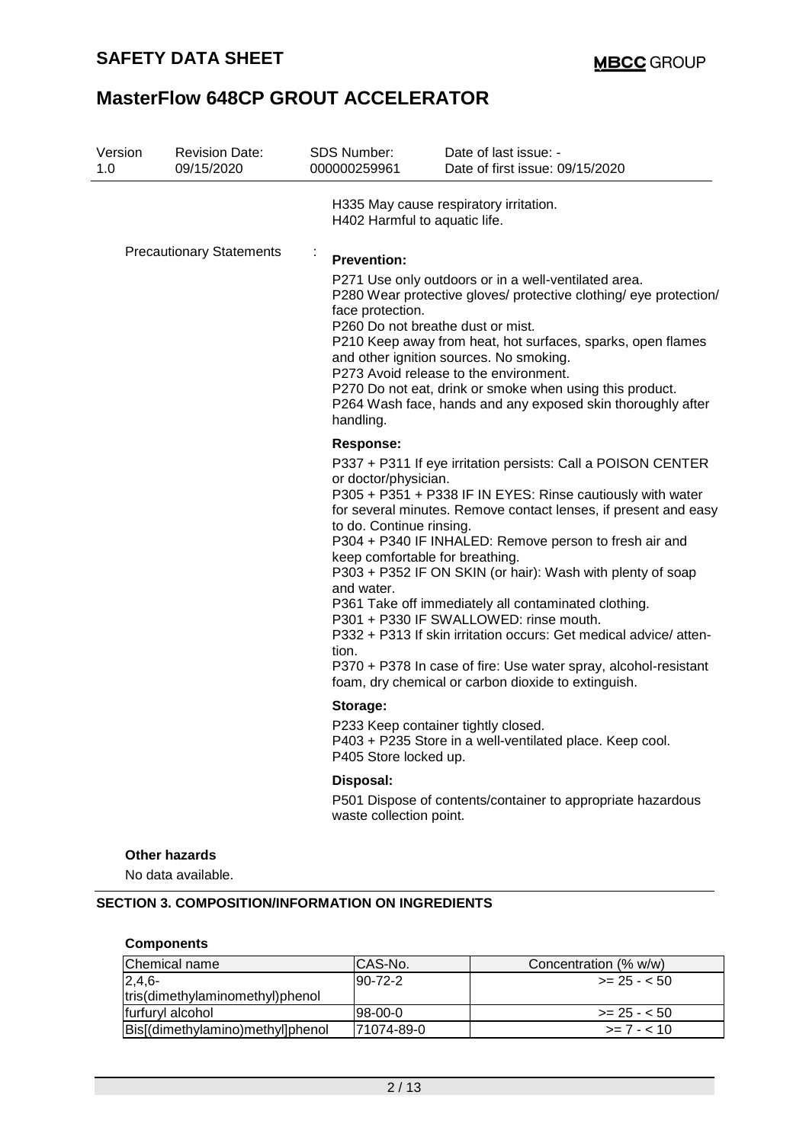| Version<br>1.0 | <b>Revision Date:</b><br>09/15/2020                                                                    | <b>SDS Number:</b><br>000000259961                                                   | Date of last issue: -<br>Date of first issue: 09/15/2020                                                                                                                                                                                                                                                                                                                                                                                                                                                                                                                                                                                                 |
|----------------|--------------------------------------------------------------------------------------------------------|--------------------------------------------------------------------------------------|----------------------------------------------------------------------------------------------------------------------------------------------------------------------------------------------------------------------------------------------------------------------------------------------------------------------------------------------------------------------------------------------------------------------------------------------------------------------------------------------------------------------------------------------------------------------------------------------------------------------------------------------------------|
|                |                                                                                                        | H402 Harmful to aquatic life.                                                        | H335 May cause respiratory irritation.                                                                                                                                                                                                                                                                                                                                                                                                                                                                                                                                                                                                                   |
|                | <b>Precautionary Statements</b>                                                                        | <b>Prevention:</b><br>face protection.<br>handling.                                  | P271 Use only outdoors or in a well-ventilated area.<br>P280 Wear protective gloves/ protective clothing/ eye protection/<br>P260 Do not breathe dust or mist.<br>P210 Keep away from heat, hot surfaces, sparks, open flames<br>and other ignition sources. No smoking.<br>P273 Avoid release to the environment.<br>P270 Do not eat, drink or smoke when using this product.<br>P264 Wash face, hands and any exposed skin thoroughly after                                                                                                                                                                                                            |
|                |                                                                                                        | Response:<br>or doctor/physician.<br>to do. Continue rinsing.<br>and water.<br>tion. | P337 + P311 If eye irritation persists: Call a POISON CENTER<br>P305 + P351 + P338 IF IN EYES: Rinse cautiously with water<br>for several minutes. Remove contact lenses, if present and easy<br>P304 + P340 IF INHALED: Remove person to fresh air and<br>keep comfortable for breathing.<br>P303 + P352 IF ON SKIN (or hair): Wash with plenty of soap<br>P361 Take off immediately all contaminated clothing.<br>P301 + P330 IF SWALLOWED: rinse mouth.<br>P332 + P313 If skin irritation occurs: Get medical advice/atten-<br>P370 + P378 In case of fire: Use water spray, alcohol-resistant<br>foam, dry chemical or carbon dioxide to extinguish. |
|                |                                                                                                        | Storage:<br>P405 Store locked up.                                                    | P233 Keep container tightly closed.<br>P403 + P235 Store in a well-ventilated place. Keep cool.                                                                                                                                                                                                                                                                                                                                                                                                                                                                                                                                                          |
|                |                                                                                                        | Disposal:<br>waste collection point.                                                 | P501 Dispose of contents/container to appropriate hazardous                                                                                                                                                                                                                                                                                                                                                                                                                                                                                                                                                                                              |
|                | <b>Other hazards</b><br>No data available.<br><b>SECTION 3. COMPOSITION/INFORMATION ON INGREDIENTS</b> |                                                                                      |                                                                                                                                                                                                                                                                                                                                                                                                                                                                                                                                                                                                                                                          |
|                | <b>Components</b>                                                                                      |                                                                                      |                                                                                                                                                                                                                                                                                                                                                                                                                                                                                                                                                                                                                                                          |
|                | Chemical name                                                                                          | CAS-No.                                                                              | Concentration (% w/w)                                                                                                                                                                                                                                                                                                                                                                                                                                                                                                                                                                                                                                    |
| $2,4,6-$       | tris(dimethylaminomethyl)phenol                                                                        | $90 - 72 - 2$                                                                        | $>= 25 - 50$                                                                                                                                                                                                                                                                                                                                                                                                                                                                                                                                                                                                                                             |
|                | furfuryl alcohol                                                                                       | 98-00-0                                                                              | $>= 25 - 50$                                                                                                                                                                                                                                                                                                                                                                                                                                                                                                                                                                                                                                             |

Bis[(dimethylamino)methyl]phenol 71074-89-0 >= 7 - < 10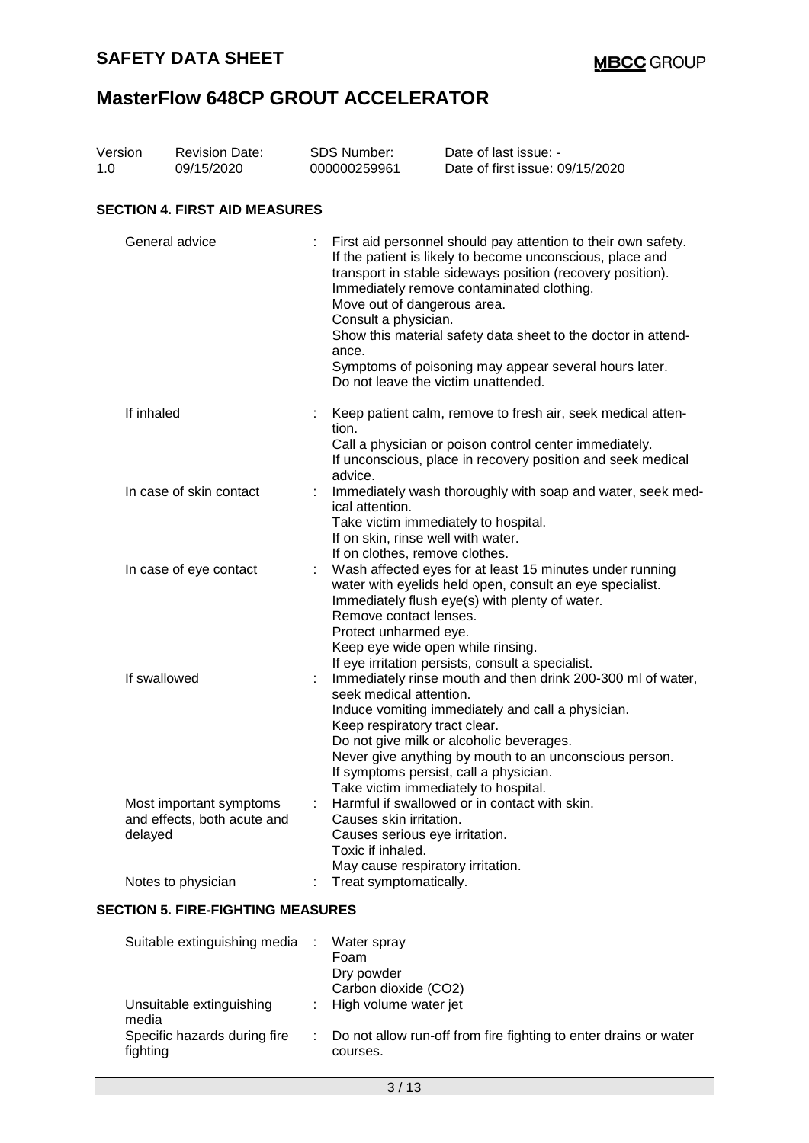| Version<br>1.0          | <b>Revision Date:</b><br>09/15/2020                               | <b>SDS Number:</b><br>000000259961                                                                                                                                                                                                                                                                                                                                   | Date of last issue: -<br>Date of first issue: 09/15/2020                                                                                                                                                                                                                                                                                                                                                                                                      |  |  |
|-------------------------|-------------------------------------------------------------------|----------------------------------------------------------------------------------------------------------------------------------------------------------------------------------------------------------------------------------------------------------------------------------------------------------------------------------------------------------------------|---------------------------------------------------------------------------------------------------------------------------------------------------------------------------------------------------------------------------------------------------------------------------------------------------------------------------------------------------------------------------------------------------------------------------------------------------------------|--|--|
|                         | <b>SECTION 4. FIRST AID MEASURES</b>                              |                                                                                                                                                                                                                                                                                                                                                                      |                                                                                                                                                                                                                                                                                                                                                                                                                                                               |  |  |
| General advice          |                                                                   | ance.                                                                                                                                                                                                                                                                                                                                                                | First aid personnel should pay attention to their own safety.<br>If the patient is likely to become unconscious, place and<br>transport in stable sideways position (recovery position).<br>Immediately remove contaminated clothing.<br>Move out of dangerous area.<br>Consult a physician.<br>Show this material safety data sheet to the doctor in attend-<br>Symptoms of poisoning may appear several hours later.<br>Do not leave the victim unattended. |  |  |
| If inhaled              |                                                                   | tion.<br>advice.                                                                                                                                                                                                                                                                                                                                                     | Keep patient calm, remove to fresh air, seek medical atten-<br>Call a physician or poison control center immediately.<br>If unconscious, place in recovery position and seek medical                                                                                                                                                                                                                                                                          |  |  |
| In case of skin contact |                                                                   | ical attention.                                                                                                                                                                                                                                                                                                                                                      | Immediately wash thoroughly with soap and water, seek med-<br>Take victim immediately to hospital.<br>If on skin, rinse well with water.<br>If on clothes, remove clothes.                                                                                                                                                                                                                                                                                    |  |  |
|                         | In case of eye contact                                            |                                                                                                                                                                                                                                                                                                                                                                      | Wash affected eyes for at least 15 minutes under running<br>water with eyelids held open, consult an eye specialist.<br>Immediately flush eye(s) with plenty of water.<br>Remove contact lenses.<br>Protect unharmed eye.<br>Keep eye wide open while rinsing.<br>If eye irritation persists, consult a specialist.                                                                                                                                           |  |  |
|                         | If swallowed                                                      | Immediately rinse mouth and then drink 200-300 ml of water,<br>seek medical attention.<br>Induce vomiting immediately and call a physician.<br>Keep respiratory tract clear.<br>Do not give milk or alcoholic beverages.<br>Never give anything by mouth to an unconscious person.<br>If symptoms persist, call a physician.<br>Take victim immediately to hospital. |                                                                                                                                                                                                                                                                                                                                                                                                                                                               |  |  |
|                         | Most important symptoms<br>and effects, both acute and<br>delayed | Toxic if inhaled.                                                                                                                                                                                                                                                                                                                                                    | Harmful if swallowed or in contact with skin.<br>Causes skin irritation.<br>Causes serious eye irritation.<br>May cause respiratory irritation.                                                                                                                                                                                                                                                                                                               |  |  |
|                         | Notes to physician                                                |                                                                                                                                                                                                                                                                                                                                                                      | Treat symptomatically.                                                                                                                                                                                                                                                                                                                                                                                                                                        |  |  |

### **SECTION 5. FIRE-FIGHTING MEASURES**

| Suitable extinguishing media :           | Water spray<br>Foam<br>Dry powder<br>Carbon dioxide (CO2)                      |
|------------------------------------------|--------------------------------------------------------------------------------|
|                                          |                                                                                |
| Unsuitable extinguishing<br>media        | : High volume water jet                                                        |
| Specific hazards during fire<br>fighting | : Do not allow run-off from fire fighting to enter drains or water<br>courses. |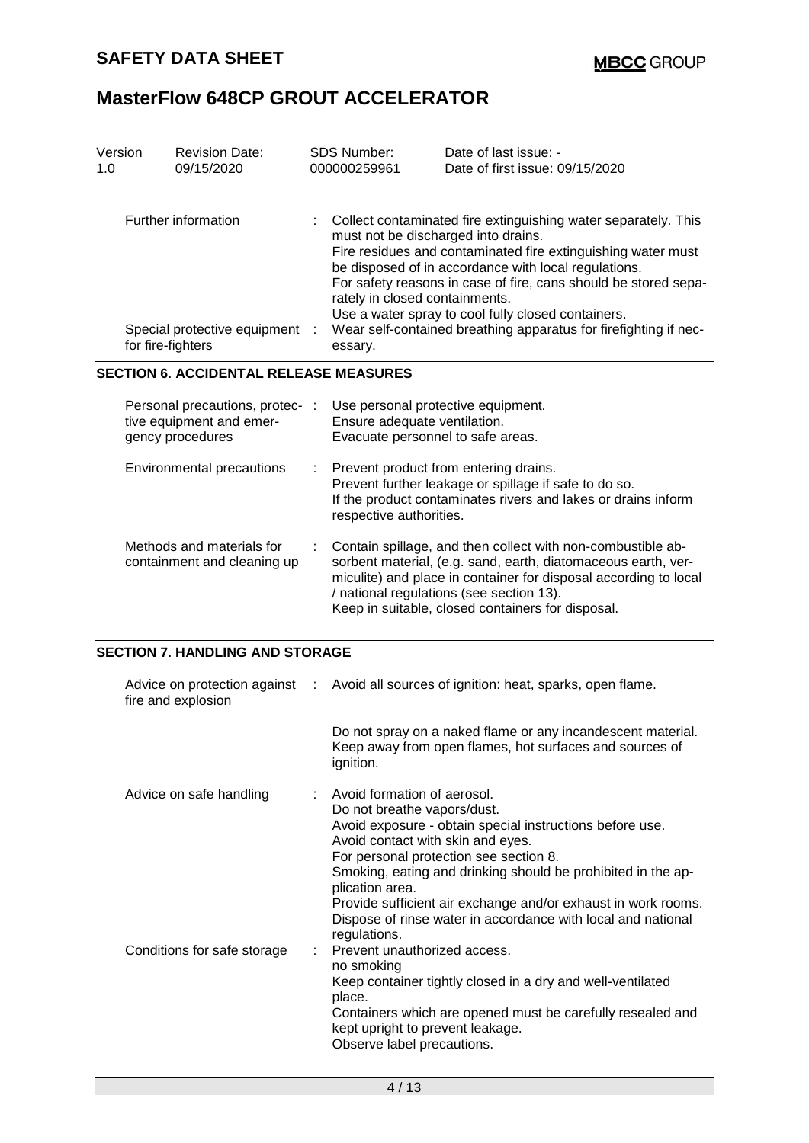| Version<br>1.0 |                   | <b>Revision Date:</b><br>09/15/2020                                             |   | <b>SDS Number:</b><br>000000259961                                                                                                                                                                                                                                                                                                                                                                                                                                      | Date of last issue: -<br>Date of first issue: 09/15/2020                                                               |  |
|----------------|-------------------|---------------------------------------------------------------------------------|---|-------------------------------------------------------------------------------------------------------------------------------------------------------------------------------------------------------------------------------------------------------------------------------------------------------------------------------------------------------------------------------------------------------------------------------------------------------------------------|------------------------------------------------------------------------------------------------------------------------|--|
|                | for fire-fighters | Further information<br>Special protective equipment                             |   | Collect contaminated fire extinguishing water separately. This<br>must not be discharged into drains.<br>Fire residues and contaminated fire extinguishing water must<br>be disposed of in accordance with local regulations.<br>For safety reasons in case of fire, cans should be stored sepa-<br>rately in closed containments.<br>Use a water spray to cool fully closed containers.<br>Wear self-contained breathing apparatus for firefighting if nec-<br>essary. |                                                                                                                        |  |
|                |                   | <b>SECTION 6. ACCIDENTAL RELEASE MEASURES</b>                                   |   |                                                                                                                                                                                                                                                                                                                                                                                                                                                                         |                                                                                                                        |  |
|                |                   | Personal precautions, protec- :<br>tive equipment and emer-<br>gency procedures |   | Use personal protective equipment.<br>Ensure adequate ventilation.<br>Evacuate personnel to safe areas.                                                                                                                                                                                                                                                                                                                                                                 |                                                                                                                        |  |
|                |                   | Environmental precautions                                                       | ÷ | Prevent product from entering drains.<br>Prevent further leakage or spillage if safe to do so.<br>If the product contaminates rivers and lakes or drains inform<br>respective authorities.                                                                                                                                                                                                                                                                              |                                                                                                                        |  |
|                |                   | Methods and materials for<br>containment and cleaning up                        |   | Contain spillage, and then collect with non-combustible ab-<br>sorbent material, (e.g. sand, earth, diatomaceous earth, ver-<br>miculite) and place in container for disposal according to local<br>/ national regulations (see section 13).<br>Keep in suitable, closed containers for disposal.                                                                                                                                                                       |                                                                                                                        |  |
|                |                   | <b>SECTION 7. HANDLING AND STORAGE</b>                                          |   |                                                                                                                                                                                                                                                                                                                                                                                                                                                                         |                                                                                                                        |  |
|                |                   | Advice on protection against<br>fire and explosion                              |   |                                                                                                                                                                                                                                                                                                                                                                                                                                                                         | Avoid all sources of ignition: heat, sparks, open flame.                                                               |  |
|                |                   |                                                                                 |   | ignition.                                                                                                                                                                                                                                                                                                                                                                                                                                                               | Do not spray on a naked flame or any incandescent material.<br>Keep away from open flames, hot surfaces and sources of |  |
|                |                   | Advice on safe handling                                                         |   | Avoid formation of aerosol.<br>Do not breathe vapors/dust.                                                                                                                                                                                                                                                                                                                                                                                                              |                                                                                                                        |  |

|                             | Do not breathe vapors/dust.                                                                    |
|-----------------------------|------------------------------------------------------------------------------------------------|
|                             | Avoid exposure - obtain special instructions before use.                                       |
|                             | Avoid contact with skin and eyes.                                                              |
|                             | For personal protection see section 8.                                                         |
|                             | Smoking, eating and drinking should be prohibited in the ap-<br>plication area.                |
|                             | Provide sufficient air exchange and/or exhaust in work rooms.                                  |
|                             | Dispose of rinse water in accordance with local and national<br>regulations.                   |
| Conditions for safe storage | : Prevent unauthorized access.                                                                 |
|                             | no smoking                                                                                     |
|                             | Keep container tightly closed in a dry and well-ventilated<br>place.                           |
|                             | Containers which are opened must be carefully resealed and<br>kept upright to prevent leakage. |
|                             | Observe label precautions.                                                                     |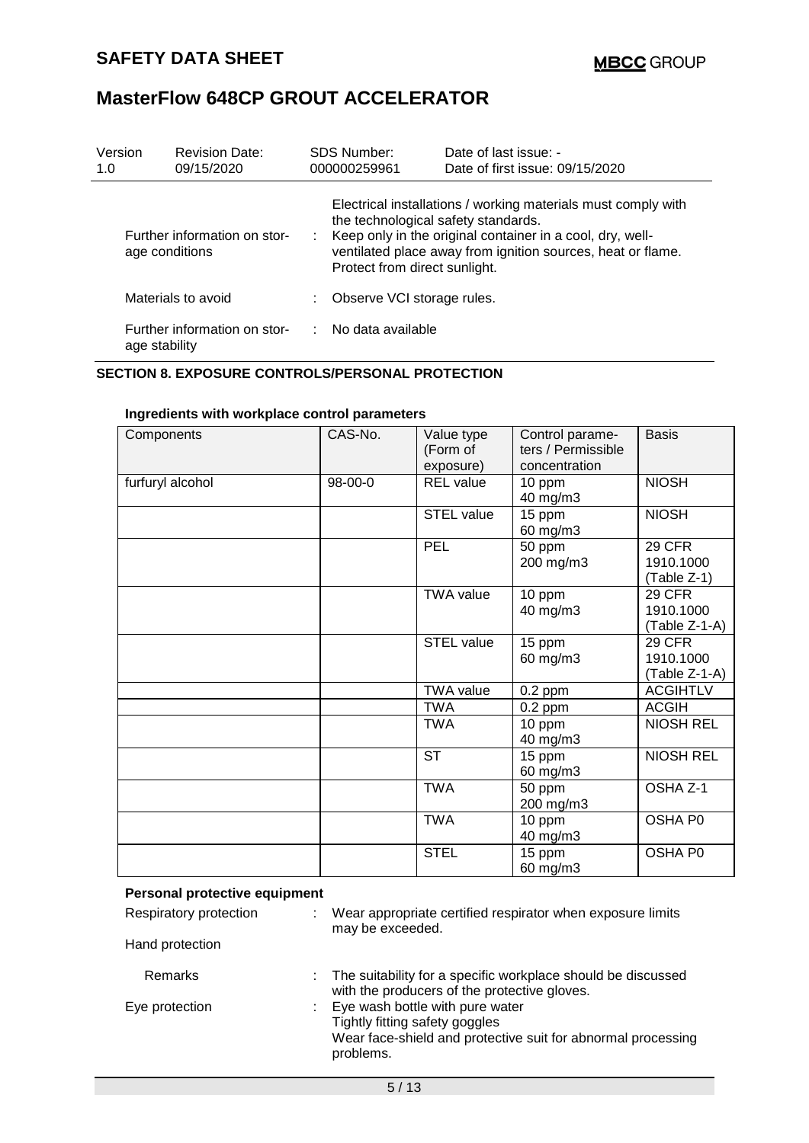| Version<br>1.0                                 |               | <b>Revision Date:</b><br>09/15/2020                                                                                                                                                                                                                                 |                            | <b>SDS Number:</b><br>000000259961 | Date of last issue: -<br>Date of first issue: 09/15/2020 |
|------------------------------------------------|---------------|---------------------------------------------------------------------------------------------------------------------------------------------------------------------------------------------------------------------------------------------------------------------|----------------------------|------------------------------------|----------------------------------------------------------|
| Further information on stor-<br>age conditions |               | Electrical installations / working materials must comply with<br>the technological safety standards.<br>: Keep only in the original container in a cool, dry, well-<br>ventilated place away from ignition sources, heat or flame.<br>Protect from direct sunlight. |                            |                                    |                                                          |
| Materials to avoid                             |               |                                                                                                                                                                                                                                                                     | Observe VCI storage rules. |                                    |                                                          |
|                                                | age stability | Further information on stor-                                                                                                                                                                                                                                        |                            | : No data available                |                                                          |

### **SECTION 8. EXPOSURE CONTROLS/PERSONAL PROTECTION**

| Components       | CAS-No. | Value type<br>(Form of<br>exposure) | Control parame-<br>ters / Permissible<br>concentration | <b>Basis</b>                                |
|------------------|---------|-------------------------------------|--------------------------------------------------------|---------------------------------------------|
| furfuryl alcohol | 98-00-0 | <b>REL</b> value                    | 10 ppm<br>40 mg/m3                                     | <b>NIOSH</b>                                |
|                  |         | <b>STEL value</b>                   | 15 ppm<br>60 mg/m3                                     | <b>NIOSH</b>                                |
|                  |         | PEL                                 | 50 ppm<br>200 mg/m3                                    | 29 CFR<br>1910.1000<br>$(Table Z-1)$        |
|                  |         | <b>TWA value</b>                    | 10 ppm<br>40 mg/m3                                     | <b>29 CFR</b><br>1910.1000<br>(Table Z-1-A) |
|                  |         | <b>STEL value</b>                   | 15 ppm<br>60 mg/m3                                     | 29 CFR<br>1910.1000<br>(Table Z-1-A)        |
|                  |         | <b>TWA value</b>                    | $0.2$ ppm                                              | <b>ACGIHTLV</b>                             |
|                  |         | <b>TWA</b>                          | $0.2$ ppm                                              | <b>ACGIH</b>                                |
|                  |         | <b>TWA</b>                          | 10 ppm<br>40 mg/m3                                     | <b>NIOSH REL</b>                            |
|                  |         | <b>ST</b>                           | 15 ppm<br>60 mg/m3                                     | <b>NIOSH REL</b>                            |
|                  |         | <b>TWA</b>                          | 50 ppm<br>200 mg/m3                                    | OSHA Z-1                                    |
|                  |         | <b>TWA</b>                          | 10 ppm<br>40 mg/m3                                     | OSHA P0                                     |
|                  |         | <b>STEL</b>                         | 15 ppm<br>60 mg/m3                                     | OSHA P0                                     |

### **Ingredients with workplace control parameters**

| Personal protective equipment |  |                                                                                                                                                  |
|-------------------------------|--|--------------------------------------------------------------------------------------------------------------------------------------------------|
| Respiratory protection        |  | Wear appropriate certified respirator when exposure limits<br>may be exceeded.                                                                   |
| Hand protection               |  |                                                                                                                                                  |
| <b>Remarks</b>                |  | The suitability for a specific workplace should be discussed<br>with the producers of the protective gloves.                                     |
| Eye protection                |  | : Eye wash bottle with pure water<br>Tightly fitting safety goggles<br>Wear face-shield and protective suit for abnormal processing<br>problems. |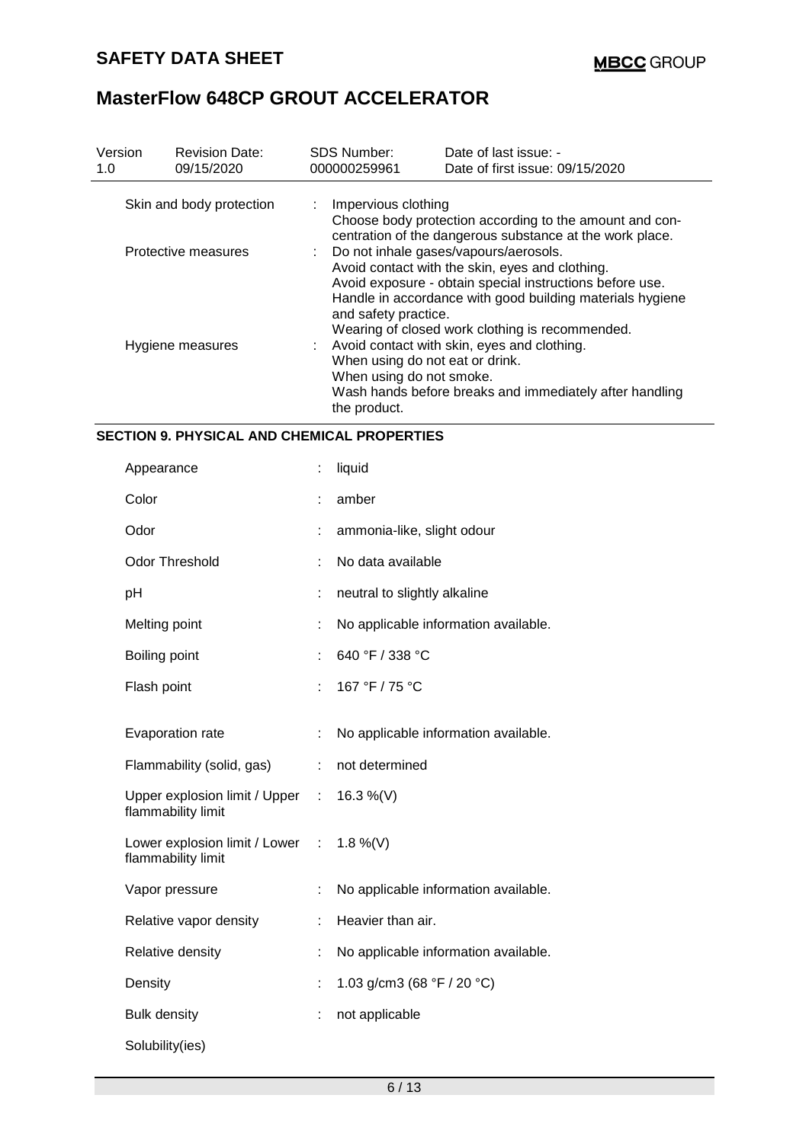| Version<br>1.0           | <b>Revision Date:</b><br>09/15/2020 | <b>SDS Number:</b><br>000000259961                                                                                                                                                                                                                                                             | Date of last issue: -<br>Date of first issue: 09/15/2020                                                            |  |  |
|--------------------------|-------------------------------------|------------------------------------------------------------------------------------------------------------------------------------------------------------------------------------------------------------------------------------------------------------------------------------------------|---------------------------------------------------------------------------------------------------------------------|--|--|
| Skin and body protection |                                     | : Impervious clothing                                                                                                                                                                                                                                                                          | Choose body protection according to the amount and con-<br>centration of the dangerous substance at the work place. |  |  |
| Protective measures      |                                     | : Do not inhale gases/vapours/aerosols.<br>Avoid contact with the skin, eyes and clothing.<br>Avoid exposure - obtain special instructions before use.<br>Handle in accordance with good building materials hygiene<br>and safety practice.<br>Wearing of closed work clothing is recommended. |                                                                                                                     |  |  |
| Hygiene measures         |                                     | : Avoid contact with skin, eyes and clothing.<br>When using do not eat or drink.<br>When using do not smoke.<br>Wash hands before breaks and immediately after handling<br>the product.                                                                                                        |                                                                                                                     |  |  |

### **SECTION 9. PHYSICAL AND CHEMICAL PROPERTIES**

| Appearance                                            | t  | liquid                                       |
|-------------------------------------------------------|----|----------------------------------------------|
| Color                                                 |    | amber                                        |
| Odor                                                  | t  | ammonia-like, slight odour                   |
| <b>Odor Threshold</b>                                 |    | No data available                            |
| pH                                                    | t  | neutral to slightly alkaline                 |
| Melting point                                         | ÷  | No applicable information available.         |
| Boiling point                                         | t, | 640 °F / 338 °C                              |
| Flash point                                           | ÷  | 167 °F / 75 °C                               |
| Evaporation rate                                      | t  | No applicable information available.         |
| Flammability (solid, gas)                             | ÷  | not determined                               |
| Upper explosion limit / Upper :<br>flammability limit |    | 16.3 %(V)                                    |
| Lower explosion limit / Lower :<br>flammability limit |    | 1.8 %(V)                                     |
| Vapor pressure                                        | t  | No applicable information available.         |
| Relative vapor density                                | t, | Heavier than air.                            |
| Relative density                                      | t  | No applicable information available.         |
| Density                                               | t  | 1.03 g/cm3 (68 $\degree$ F / 20 $\degree$ C) |
| <b>Bulk density</b>                                   |    | not applicable                               |
| Solubility(ies)                                       |    |                                              |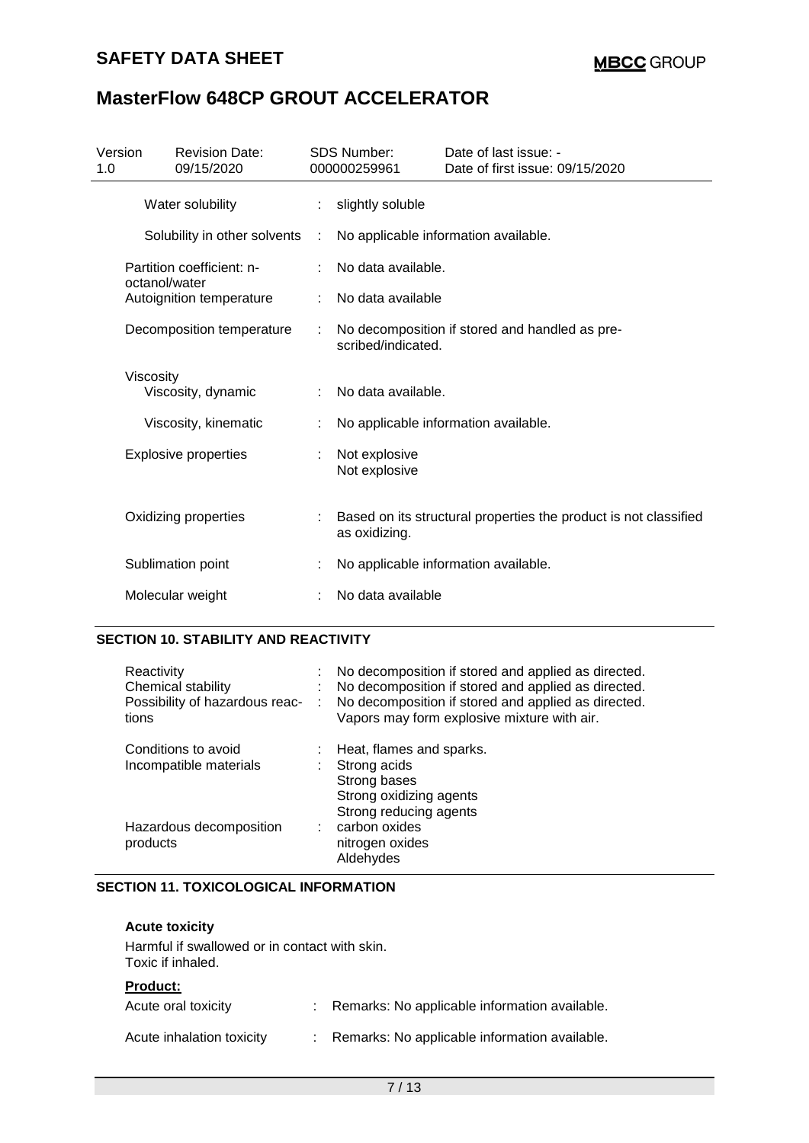### **SAFETY DATA SHEET**

## **MasterFlow 648CP GROUT ACCELERATOR**

| Version<br>1.0                  | <b>Revision Date:</b><br>09/15/2020        |  | <b>SDS Number:</b><br>000000259961 | Date of last issue: -<br>Date of first issue: 09/15/2020         |
|---------------------------------|--------------------------------------------|--|------------------------------------|------------------------------------------------------------------|
|                                 | Water solubility                           |  | slightly soluble                   |                                                                  |
|                                 | Solubility in other solvents               |  |                                    | No applicable information available.                             |
|                                 | Partition coefficient: n-<br>octanol/water |  | No data available.                 |                                                                  |
|                                 | Autoignition temperature                   |  | No data available                  |                                                                  |
| Decomposition temperature       |                                            |  | scribed/indicated.                 | No decomposition if stored and handled as pre-                   |
| Viscosity<br>Viscosity, dynamic |                                            |  | No data available.                 |                                                                  |
|                                 | Viscosity, kinematic                       |  |                                    | No applicable information available.                             |
|                                 | <b>Explosive properties</b>                |  | Not explosive<br>Not explosive     |                                                                  |
|                                 | Oxidizing properties                       |  | as oxidizing.                      | Based on its structural properties the product is not classified |
|                                 | Sublimation point                          |  |                                    | No applicable information available.                             |
|                                 | Molecular weight                           |  | No data available                  |                                                                  |

### **SECTION 10. STABILITY AND REACTIVITY**

| Reactivity<br>Chemical stability<br>Possibility of hazardous reac-<br>tions | ÷ | No decomposition if stored and applied as directed.<br>No decomposition if stored and applied as directed.<br>No decomposition if stored and applied as directed.<br>Vapors may form explosive mixture with air. |
|-----------------------------------------------------------------------------|---|------------------------------------------------------------------------------------------------------------------------------------------------------------------------------------------------------------------|
| Conditions to avoid<br>Incompatible materials                               |   | Heat, flames and sparks.<br>Strong acids<br>Strong bases<br>Strong oxidizing agents<br>Strong reducing agents                                                                                                    |
| Hazardous decomposition<br>products                                         |   | carbon oxides<br>nitrogen oxides<br>Aldehydes                                                                                                                                                                    |

### **SECTION 11. TOXICOLOGICAL INFORMATION**

| <b>Acute toxicity</b>                                              |                                                 |
|--------------------------------------------------------------------|-------------------------------------------------|
| Harmful if swallowed or in contact with skin.<br>Toxic if inhaled. |                                                 |
| <b>Product:</b>                                                    |                                                 |
| Acute oral toxicity                                                | : Remarks: No applicable information available. |
| Acute inhalation toxicity                                          | Remarks: No applicable information available.   |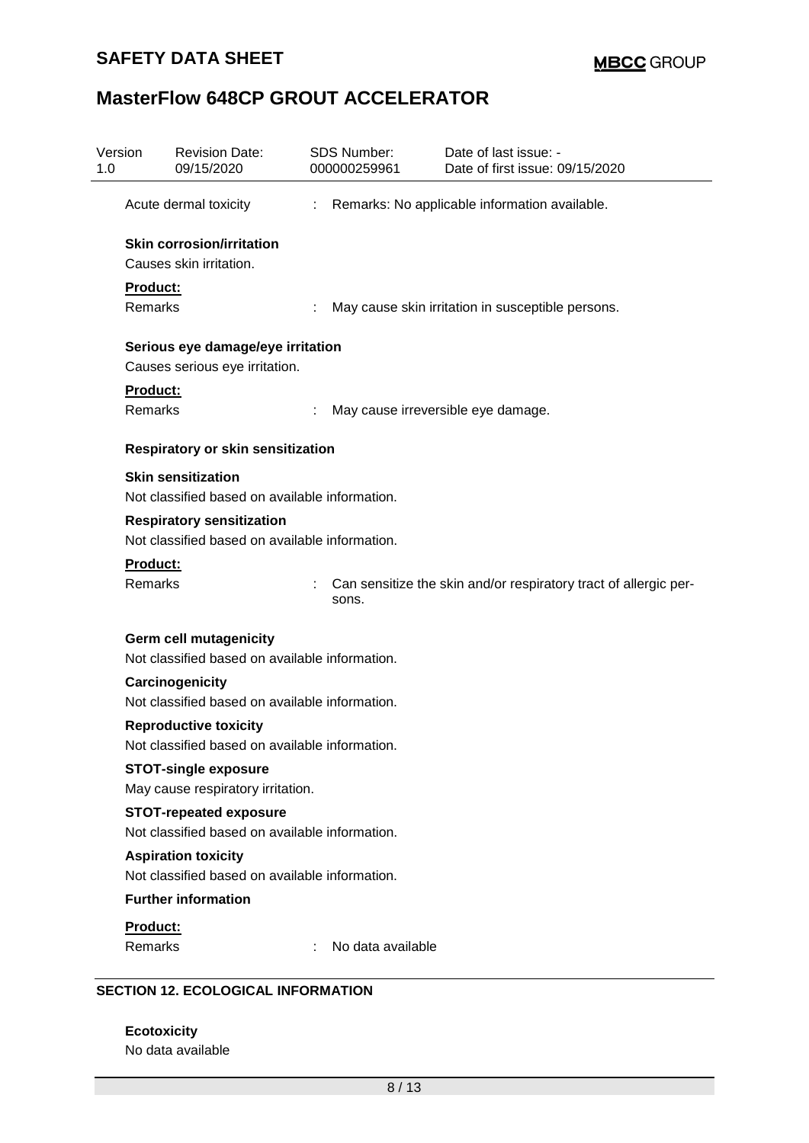### **SAFETY DATA SHEET**

# **MasterFlow 648CP GROUT ACCELERATOR**

| Version                           | <b>Revision Date:</b><br>09/15/2020            | <b>SDS Number:</b><br>000000259961 | Date of last issue: -<br>Date of first issue: 09/15/2020         |  |  |  |  |
|-----------------------------------|------------------------------------------------|------------------------------------|------------------------------------------------------------------|--|--|--|--|
|                                   | Acute dermal toxicity                          | ÷                                  | Remarks: No applicable information available.                    |  |  |  |  |
|                                   | <b>Skin corrosion/irritation</b>               |                                    |                                                                  |  |  |  |  |
|                                   | Causes skin irritation.                        |                                    |                                                                  |  |  |  |  |
| Product:                          |                                                |                                    |                                                                  |  |  |  |  |
| Remarks                           |                                                |                                    | May cause skin irritation in susceptible persons.                |  |  |  |  |
| Serious eye damage/eye irritation |                                                |                                    |                                                                  |  |  |  |  |
|                                   | Causes serious eye irritation.                 |                                    |                                                                  |  |  |  |  |
| Product:                          |                                                |                                    |                                                                  |  |  |  |  |
| Remarks                           |                                                |                                    | May cause irreversible eye damage.                               |  |  |  |  |
|                                   | <b>Respiratory or skin sensitization</b>       |                                    |                                                                  |  |  |  |  |
|                                   | <b>Skin sensitization</b>                      |                                    |                                                                  |  |  |  |  |
|                                   | Not classified based on available information. |                                    |                                                                  |  |  |  |  |
| <b>Respiratory sensitization</b>  |                                                |                                    |                                                                  |  |  |  |  |
|                                   | Not classified based on available information. |                                    |                                                                  |  |  |  |  |
| Product:                          |                                                |                                    |                                                                  |  |  |  |  |
| Remarks                           |                                                | sons.                              | Can sensitize the skin and/or respiratory tract of allergic per- |  |  |  |  |
|                                   | <b>Germ cell mutagenicity</b>                  |                                    |                                                                  |  |  |  |  |
|                                   | Not classified based on available information. |                                    |                                                                  |  |  |  |  |
|                                   | <b>Carcinogenicity</b>                         |                                    |                                                                  |  |  |  |  |
|                                   | Not classified based on available information. |                                    |                                                                  |  |  |  |  |
|                                   | <b>Reproductive toxicity</b>                   |                                    |                                                                  |  |  |  |  |
|                                   | Not classified based on available information. |                                    |                                                                  |  |  |  |  |
|                                   | <b>STOT-single exposure</b>                    |                                    |                                                                  |  |  |  |  |
|                                   | May cause respiratory irritation.              |                                    |                                                                  |  |  |  |  |
|                                   | <b>STOT-repeated exposure</b>                  |                                    |                                                                  |  |  |  |  |
|                                   | Not classified based on available information. |                                    |                                                                  |  |  |  |  |
|                                   | <b>Aspiration toxicity</b>                     |                                    |                                                                  |  |  |  |  |
|                                   | Not classified based on available information. |                                    |                                                                  |  |  |  |  |
|                                   | <b>Further information</b>                     |                                    |                                                                  |  |  |  |  |
| Product:                          |                                                |                                    |                                                                  |  |  |  |  |
|                                   | Remarks                                        | No data available                  |                                                                  |  |  |  |  |

**Ecotoxicity** No data available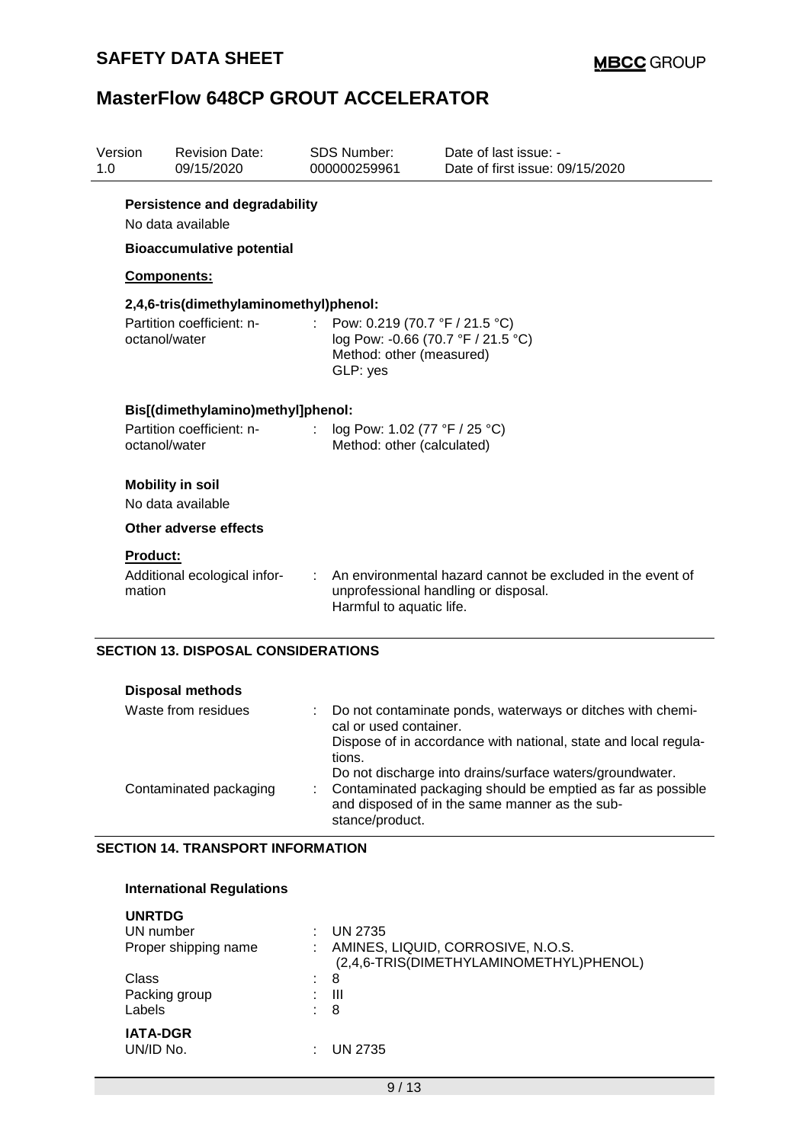| Version<br>1.0                    |                                                                                               | <b>Revision Date:</b><br>09/15/2020          | <b>SDS Number:</b><br>000000259961                          | Date of last issue: -<br>Date of first issue: 09/15/2020                                           |  |  |  |  |  |  |
|-----------------------------------|-----------------------------------------------------------------------------------------------|----------------------------------------------|-------------------------------------------------------------|----------------------------------------------------------------------------------------------------|--|--|--|--|--|--|
|                                   | <b>Persistence and degradability</b><br>No data available<br><b>Bioaccumulative potential</b> |                                              |                                                             |                                                                                                    |  |  |  |  |  |  |
|                                   | <b>Components:</b>                                                                            |                                              |                                                             |                                                                                                    |  |  |  |  |  |  |
|                                   | 2,4,6-tris(dimethylaminomethyl)phenol:                                                        |                                              |                                                             |                                                                                                    |  |  |  |  |  |  |
|                                   | octanol/water                                                                                 | Partition coefficient: n-                    | GLP: yes                                                    | Pow: 0.219 (70.7 °F / 21.5 °C)<br>log Pow: -0.66 (70.7 °F / 21.5 °C)<br>Method: other (measured)   |  |  |  |  |  |  |
| Bis[(dimethylamino)methyl]phenol: |                                                                                               |                                              |                                                             |                                                                                                    |  |  |  |  |  |  |
|                                   | octanol/water                                                                                 | Partition coefficient: n-                    | log Pow: 1.02 (77 °F / 25 °C)<br>Method: other (calculated) |                                                                                                    |  |  |  |  |  |  |
|                                   |                                                                                               | <b>Mobility in soil</b><br>No data available |                                                             |                                                                                                    |  |  |  |  |  |  |
|                                   |                                                                                               | Other adverse effects                        |                                                             |                                                                                                    |  |  |  |  |  |  |
|                                   | <b>Product:</b><br>mation                                                                     | Additional ecological infor-                 | Harmful to aquatic life.                                    | An environmental hazard cannot be excluded in the event of<br>unprofessional handling or disposal. |  |  |  |  |  |  |
|                                   |                                                                                               | <b>SECTION 13. DISPOSAL CONSIDERATIONS</b>   |                                                             |                                                                                                    |  |  |  |  |  |  |

| <b>Disposal methods</b> |
|-------------------------|
|-------------------------|

| Waste from residues    | : Do not contaminate ponds, waterways or ditches with chemi-<br>cal or used container.<br>Dispose of in accordance with national, state and local regula-<br>tions.                            |
|------------------------|------------------------------------------------------------------------------------------------------------------------------------------------------------------------------------------------|
| Contaminated packaging | Do not discharge into drains/surface waters/groundwater.<br>: Contaminated packaging should be emptied as far as possible<br>and disposed of in the same manner as the sub-<br>stance/product. |

### **SECTION 14. TRANSPORT INFORMATION**

### **International Regulations**

| <b>UNRTDG</b>        |                                         |
|----------------------|-----------------------------------------|
| UN number<br>٠       | <b>UN 2735</b>                          |
| Proper shipping name | AMINES, LIQUID, CORROSIVE, N.O.S.       |
|                      | (2,4,6-TRIS(DIMETHYLAMINOMETHYL)PHENOL) |
| Class                | 8<br>۰.                                 |
| Packing group<br>÷   | Ш                                       |
| Labels               | -8                                      |
| <b>IATA-DGR</b>      |                                         |
| UN/ID No.<br>٠       | UN 2735                                 |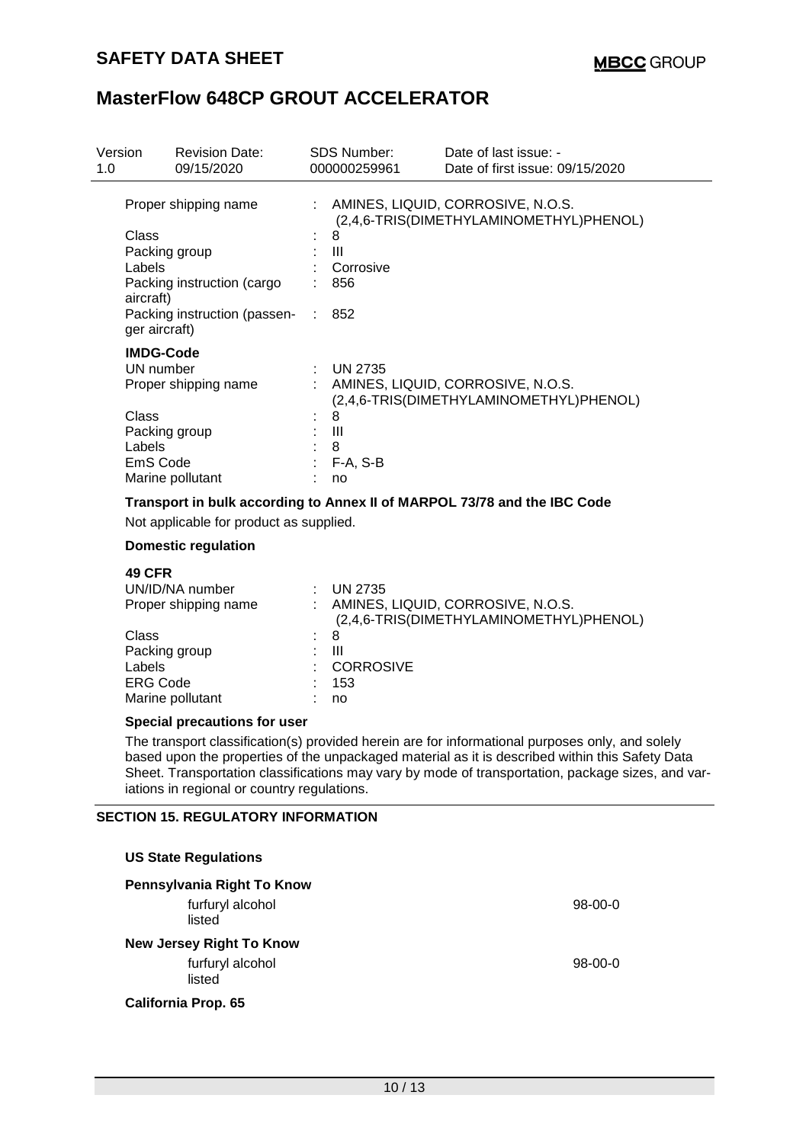| Version<br>1.0 |                                                       | <b>Revision Date:</b><br>09/15/2020     |    | SDS Number:<br>000000259961 | Date of last issue: -<br>Date of first issue: 09/15/2020                     |
|----------------|-------------------------------------------------------|-----------------------------------------|----|-----------------------------|------------------------------------------------------------------------------|
|                | Proper shipping name                                  |                                         | ÷  |                             | AMINES, LIQUID, CORROSIVE, N.O.S.<br>(2,4,6-TRIS(DIMETHYLAMINOMETHYL)PHENOL) |
|                | Class                                                 |                                         |    | 8                           |                                                                              |
|                | Packing group                                         |                                         |    | Ш                           |                                                                              |
|                | Labels                                                |                                         |    | Corrosive                   |                                                                              |
|                | aircraft)                                             | Packing instruction (cargo              |    | 856                         |                                                                              |
|                | ger aircraft)                                         | Packing instruction (passen-            | ÷. | 852                         |                                                                              |
|                | <b>IMDG-Code</b><br>UN number<br>Proper shipping name |                                         |    |                             |                                                                              |
|                |                                                       |                                         |    | <b>UN 2735</b>              |                                                                              |
|                |                                                       |                                         | ÷  |                             | AMINES, LIQUID, CORROSIVE, N.O.S.<br>(2,4,6-TRIS(DIMETHYLAMINOMETHYL)PHENOL) |
|                | Class                                                 |                                         |    | 8                           |                                                                              |
|                | Packing group                                         |                                         |    | - 111                       |                                                                              |
|                | Labels                                                |                                         |    | 8                           |                                                                              |
|                | EmS Code                                              |                                         |    | F-A, S-B                    |                                                                              |
|                |                                                       | Marine pollutant                        |    | no                          |                                                                              |
|                |                                                       |                                         |    |                             | Transport in bulk according to Annex II of MARPOL 73/78 and the IBC Code     |
|                |                                                       | Not applicable for product as supplied. |    |                             |                                                                              |
|                |                                                       | Domestic requisition                    |    |                             |                                                                              |

### **Domestic regulation**

| <b>49 CFR</b><br>UN/ID/NA number<br>Proper shipping name | <b>UN 2735</b><br>AMINES, LIQUID, CORROSIVE, N.O.S.<br>(2,4,6-TRIS(DIMETHYLAMINOMETHYL)PHENOL) |
|----------------------------------------------------------|------------------------------------------------------------------------------------------------|
| Class                                                    | -8                                                                                             |
| Packing group                                            | Ш                                                                                              |
| Labels                                                   | <b>CORROSIVE</b>                                                                               |
| <b>ERG Code</b>                                          | 153                                                                                            |
| Marine pollutant                                         | no                                                                                             |

#### **Special precautions for user**

The transport classification(s) provided herein are for informational purposes only, and solely based upon the properties of the unpackaged material as it is described within this Safety Data Sheet. Transportation classifications may vary by mode of transportation, package sizes, and variations in regional or country regulations.

#### **SECTION 15. REGULATORY INFORMATION**

| <b>US State Regulations</b>     |           |
|---------------------------------|-----------|
| Pennsylvania Right To Know      |           |
| furfuryl alcohol<br>listed      | $98-00-0$ |
| <b>New Jersey Right To Know</b> |           |
| furfuryl alcohol<br>listed      | $98-00-0$ |
| <b>California Prop. 65</b>      |           |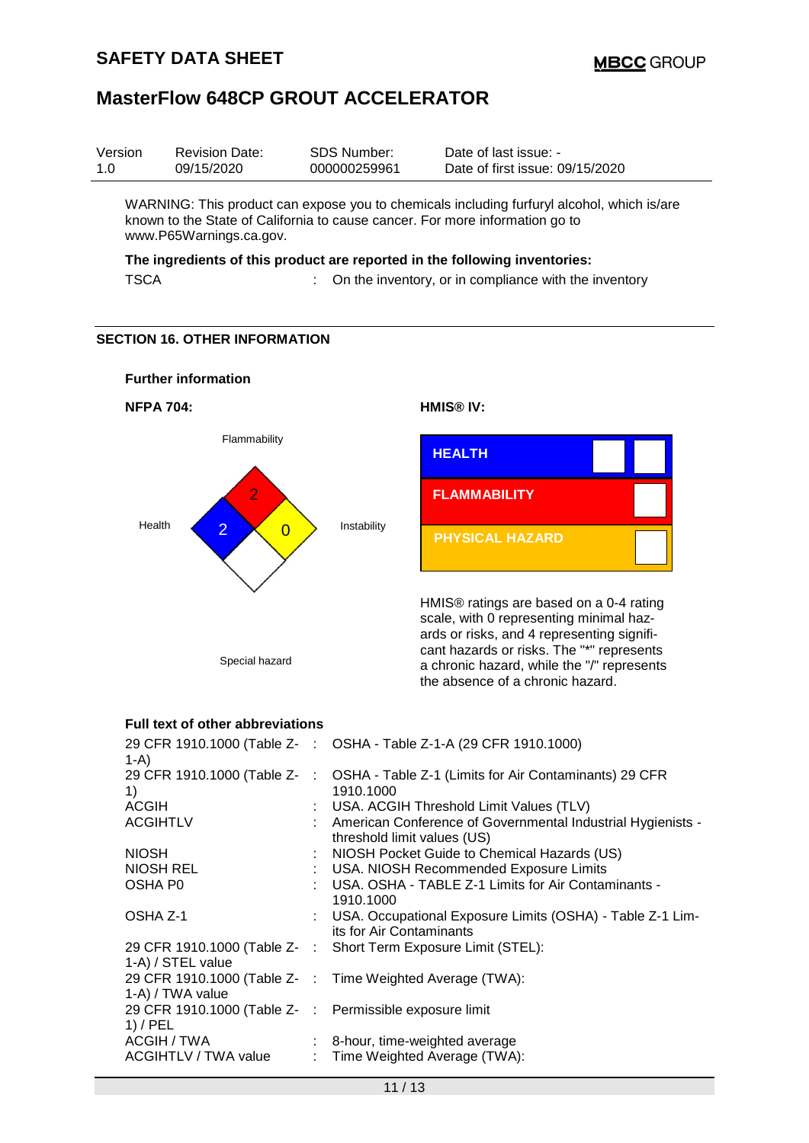| Version | <b>Revision Date:</b> | SDS Number:  | Date of last issue: -           |
|---------|-----------------------|--------------|---------------------------------|
| 1.0     | 09/15/2020            | 000000259961 | Date of first issue: 09/15/2020 |
|         |                       |              |                                 |

WARNING: This product can expose you to chemicals including furfuryl alcohol, which is/are known to the State of California to cause cancer. For more information go to www.P65Warnings.ca.gov.

## **The ingredients of this product are reported in the following inventories:**

TSCA : On the inventory, or in compliance with the inventory

### **SECTION 16. OTHER INFORMATION**



### **Full text of other abbreviations**

| 1-A)                                                                  | 29 CFR 1910.1000 (Table Z- : OSHA - Table Z-1-A (29 CFR 1910.1000)                              |
|-----------------------------------------------------------------------|-------------------------------------------------------------------------------------------------|
| 1)                                                                    | 29 CFR 1910.1000 (Table Z- : OSHA - Table Z-1 (Limits for Air Contaminants) 29 CFR<br>1910.1000 |
| <b>ACGIH</b>                                                          | : USA. ACGIH Threshold Limit Values (TLV)                                                       |
| <b>ACGIHTLV</b>                                                       | : American Conference of Governmental Industrial Hygienists -<br>threshold limit values (US)    |
| <b>NIOSH</b>                                                          | : NIOSH Pocket Guide to Chemical Hazards (US)<br>: USA. NIOSH Recommended Exposure Limits       |
| NIOSH REL                                                             |                                                                                                 |
| OSHA P <sub>0</sub>                                                   | : USA. OSHA - TABLE Z-1 Limits for Air Contaminants -<br>1910.1000                              |
| OSHA Z-1                                                              | : USA. Occupational Exposure Limits (OSHA) - Table Z-1 Lim-<br>its for Air Contaminants         |
| 1-A) / STEL value                                                     | 29 CFR 1910.1000 (Table Z- : Short Term Exposure Limit (STEL):                                  |
| 1-A) / TWA value                                                      | 29 CFR 1910.1000 (Table Z- : Time Weighted Average (TWA):                                       |
| 29 CFR 1910.1000 (Table Z- : Permissible exposure limit<br>$1)$ / PEL |                                                                                                 |
|                                                                       | ACGIH / TWA : 8-hour, time-weighted average                                                     |
| ACGIHTLV / TWA value                                                  | : Time Weighted Average (TWA):                                                                  |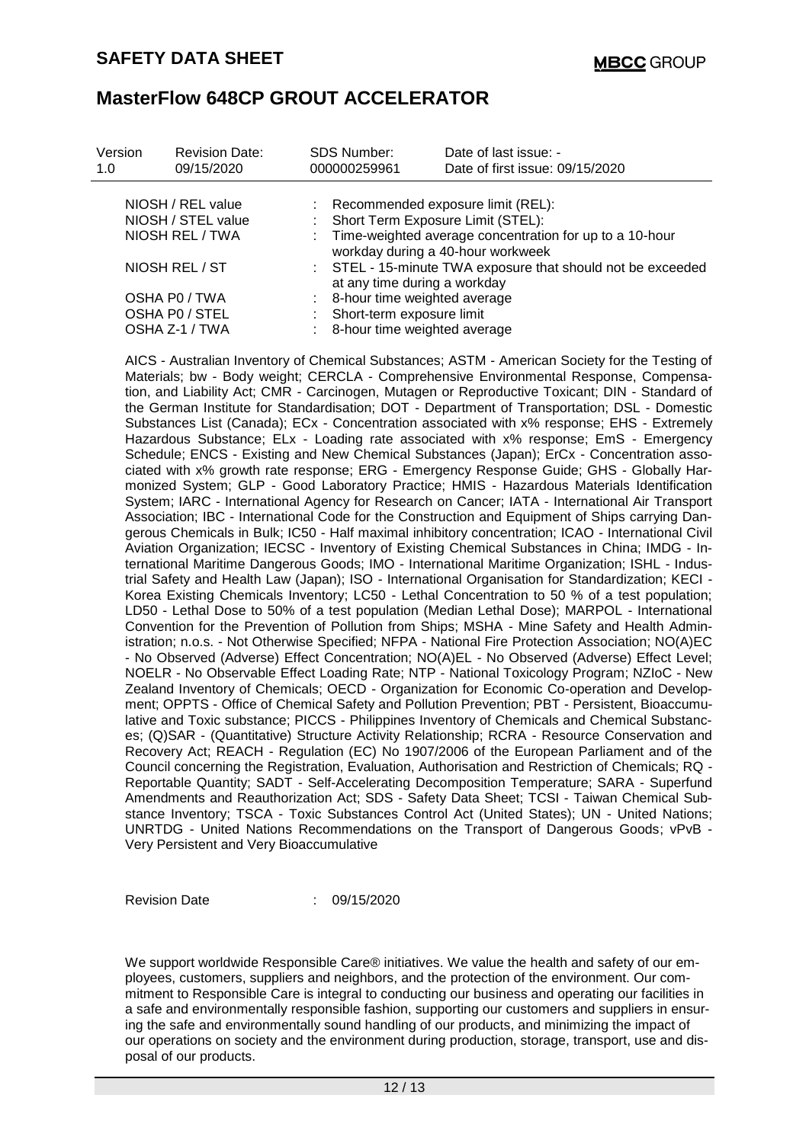| Version<br>1.0                          | <b>Revision Date:</b><br>09/15/2020 |  | <b>SDS Number:</b><br>000000259961                                                           | Date of last issue: -<br>Date of first issue: 09/15/2020 |  |  |  |
|-----------------------------------------|-------------------------------------|--|----------------------------------------------------------------------------------------------|----------------------------------------------------------|--|--|--|
| NIOSH / REL value<br>NIOSH / STEL value |                                     |  | Recommended exposure limit (REL):<br>Short Term Exposure Limit (STEL):                       |                                                          |  |  |  |
| NIOSH REL / TWA                         |                                     |  | Time-weighted average concentration for up to a 10-hour<br>workday during a 40-hour workweek |                                                          |  |  |  |
| NIOSH REL / ST                          |                                     |  | : STEL - 15-minute TWA exposure that should not be exceeded<br>at any time during a workday  |                                                          |  |  |  |
|                                         | OSHA P0 / TWA                       |  | 8-hour time weighted average                                                                 |                                                          |  |  |  |
|                                         | OSHA PO / STEL                      |  | Short-term exposure limit                                                                    |                                                          |  |  |  |
| OSHA Z-1 / TWA                          |                                     |  | 8-hour time weighted average                                                                 |                                                          |  |  |  |

AICS - Australian Inventory of Chemical Substances; ASTM - American Society for the Testing of Materials; bw - Body weight; CERCLA - Comprehensive Environmental Response, Compensation, and Liability Act; CMR - Carcinogen, Mutagen or Reproductive Toxicant; DIN - Standard of the German Institute for Standardisation; DOT - Department of Transportation; DSL - Domestic Substances List (Canada); ECx - Concentration associated with x% response; EHS - Extremely Hazardous Substance; ELx - Loading rate associated with x% response; EmS - Emergency Schedule; ENCS - Existing and New Chemical Substances (Japan); ErCx - Concentration associated with x% growth rate response; ERG - Emergency Response Guide; GHS - Globally Harmonized System; GLP - Good Laboratory Practice; HMIS - Hazardous Materials Identification System; IARC - International Agency for Research on Cancer; IATA - International Air Transport Association; IBC - International Code for the Construction and Equipment of Ships carrying Dangerous Chemicals in Bulk; IC50 - Half maximal inhibitory concentration; ICAO - International Civil Aviation Organization; IECSC - Inventory of Existing Chemical Substances in China; IMDG - International Maritime Dangerous Goods; IMO - International Maritime Organization; ISHL - Industrial Safety and Health Law (Japan); ISO - International Organisation for Standardization; KECI - Korea Existing Chemicals Inventory; LC50 - Lethal Concentration to 50 % of a test population; LD50 - Lethal Dose to 50% of a test population (Median Lethal Dose); MARPOL - International Convention for the Prevention of Pollution from Ships; MSHA - Mine Safety and Health Administration; n.o.s. - Not Otherwise Specified; NFPA - National Fire Protection Association; NO(A)EC - No Observed (Adverse) Effect Concentration; NO(A)EL - No Observed (Adverse) Effect Level; NOELR - No Observable Effect Loading Rate; NTP - National Toxicology Program; NZIoC - New Zealand Inventory of Chemicals; OECD - Organization for Economic Co-operation and Development; OPPTS - Office of Chemical Safety and Pollution Prevention; PBT - Persistent, Bioaccumulative and Toxic substance; PICCS - Philippines Inventory of Chemicals and Chemical Substances; (Q)SAR - (Quantitative) Structure Activity Relationship; RCRA - Resource Conservation and Recovery Act; REACH - Regulation (EC) No 1907/2006 of the European Parliament and of the Council concerning the Registration, Evaluation, Authorisation and Restriction of Chemicals; RQ - Reportable Quantity; SADT - Self-Accelerating Decomposition Temperature; SARA - Superfund Amendments and Reauthorization Act; SDS - Safety Data Sheet; TCSI - Taiwan Chemical Substance Inventory; TSCA - Toxic Substances Control Act (United States); UN - United Nations; UNRTDG - United Nations Recommendations on the Transport of Dangerous Goods; vPvB - Very Persistent and Very Bioaccumulative

Revision Date : 09/15/2020

We support worldwide Responsible Care® initiatives. We value the health and safety of our employees, customers, suppliers and neighbors, and the protection of the environment. Our commitment to Responsible Care is integral to conducting our business and operating our facilities in a safe and environmentally responsible fashion, supporting our customers and suppliers in ensuring the safe and environmentally sound handling of our products, and minimizing the impact of our operations on society and the environment during production, storage, transport, use and disposal of our products.